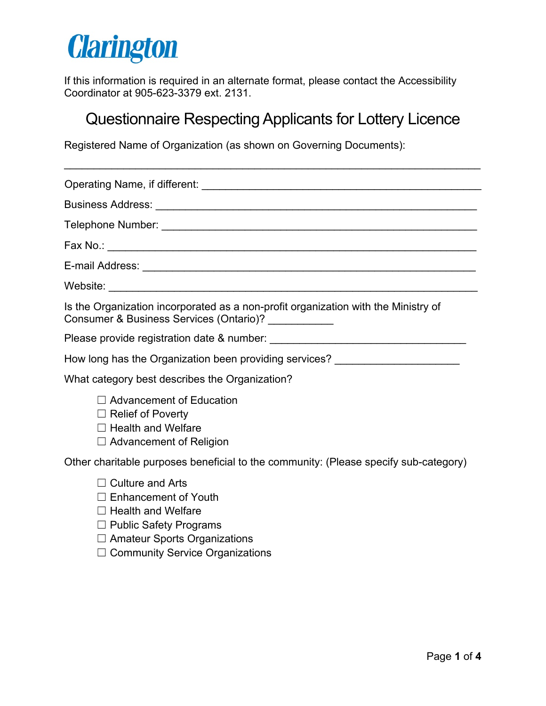# **Clarington**

If this information is required in an alternate format, please contact the Accessibility Coordinator at 905-623-3379 ext. 2131.

## Questionnaire Respecting Applicants for Lottery Licence

Registered Name of Organization (as shown on Governing Documents):

| Is the Organization incorporated as a non-profit organization with the Ministry of<br>Consumer & Business Services (Ontario)? ___________                   |
|-------------------------------------------------------------------------------------------------------------------------------------------------------------|
|                                                                                                                                                             |
| How long has the Organization been providing services? _________________________                                                                            |
| What category best describes the Organization?                                                                                                              |
| $\Box$ Advancement of Education<br>$\Box$ Relief of Poverty<br>$\Box$ Health and Welfare<br>$\Box$ Advancement of Religion                                  |
| Other charitable purposes beneficial to the community: (Please specify sub-category)                                                                        |
| $\Box$ Culture and Arts<br>$\Box$ Enhancement of Youth<br>$\Box$ Health and Welfare<br>$\Box$ Public Safety Programs<br>$\Box$ Amatour Sports Organizations |

☐ Amateur Sports Organizations

□ Community Service Organizations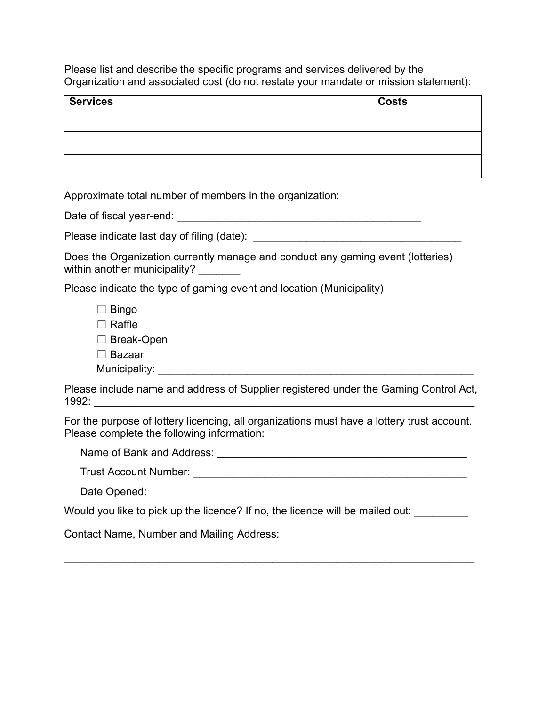Please list and describe the specific programs and services delivered by the Organization and associated cost (do not restate your mandate or mission statement):

| <b>Services</b> | <b>Costs</b> |
|-----------------|--------------|
|                 |              |
|                 |              |
|                 |              |
|                 |              |
|                 |              |
|                 |              |

Approximate total number of members in the organization: \_\_\_\_\_\_\_\_\_\_\_\_\_\_\_\_\_\_\_\_\_\_\_

Date of fiscal year-end: \_\_\_\_\_\_\_\_\_\_\_\_\_\_\_\_\_\_\_\_\_\_\_\_\_\_\_\_\_\_\_\_\_\_\_\_\_\_\_\_\_

Please indicate last day of filing (date): \_\_\_\_\_\_\_\_\_\_\_\_\_\_\_\_\_\_\_\_\_\_\_\_\_\_\_\_\_\_\_\_\_\_\_

Does the Organization currently manage and conduct any gaming event (lotteries) within another municipality?

Please indicate the type of gaming event and location (Municipality)

 $\Box$  Bingo ☐ Raffle ☐ Break-Open ☐ Bazaar Municipality: \_\_\_\_\_\_\_\_\_\_\_\_\_\_\_\_\_\_\_\_\_\_\_\_\_\_\_\_\_\_\_\_\_\_\_\_\_\_\_\_\_\_\_\_\_\_\_\_\_\_\_\_\_

Please include name and address of Supplier registered under the Gaming Control Act, 1992: \_\_\_\_\_\_\_\_\_\_\_\_\_\_\_\_\_\_\_\_\_\_\_\_\_\_\_\_\_\_\_\_\_\_\_\_\_\_\_\_\_\_\_\_\_\_\_\_\_\_\_\_\_\_\_\_\_\_\_\_\_\_\_\_

For the purpose of lottery licencing, all organizations must have a lottery trust account. Please complete the following information:

\_\_\_\_\_\_\_\_\_\_\_\_\_\_\_\_\_\_\_\_\_\_\_\_\_\_\_\_\_\_\_\_\_\_\_\_\_\_\_\_\_\_\_\_\_\_\_\_\_\_\_\_\_\_\_\_\_\_\_\_\_\_\_\_\_\_\_\_\_

Name of Bank and Address: \_\_\_\_\_\_\_\_\_\_\_\_\_\_\_\_\_\_\_\_\_\_\_\_\_\_\_\_\_\_\_\_\_\_\_\_\_\_\_\_\_\_

| <b>Trust Account Number:</b> |  |
|------------------------------|--|
|                              |  |

| Date Opened: |  |  |
|--------------|--|--|
|              |  |  |

Would you like to pick up the licence? If no, the licence will be mailed out:

Contact Name, Number and Mailing Address: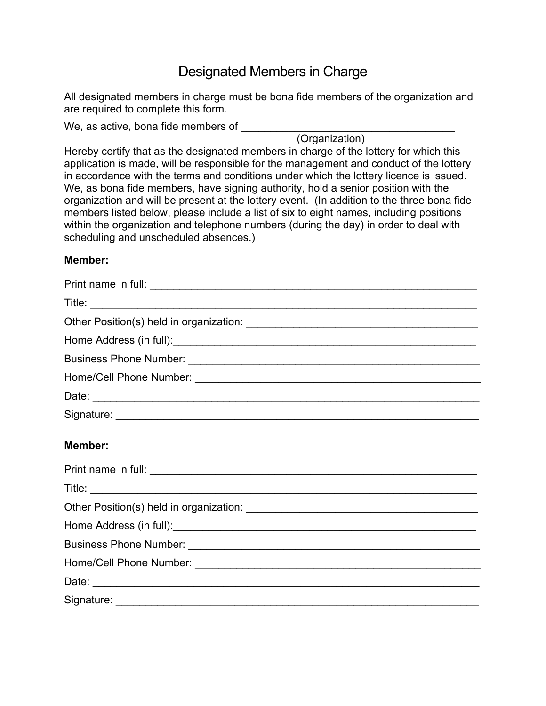## Designated Members in Charge

All designated members in charge must be bona fide members of the organization and are required to complete this form.

We, as active, bona fide members of **with all of the set of the set of the set of the set of the set of the set of the set of the set of the set of the set of the set of the set of the set of the set of the set of the set** 

(Organization)

Hereby certify that as the designated members in charge of the lottery for which this application is made, will be responsible for the management and conduct of the lottery in accordance with the terms and conditions under which the lottery licence is issued. We, as bona fide members, have signing authority, hold a senior position with the organization and will be present at the lottery event. (In addition to the three bona fide members listed below, please include a list of six to eight names, including positions within the organization and telephone numbers (during the day) in order to deal with scheduling and unscheduled absences.)

#### **Member:**

| Home Address (in full): All and the Address (in full): |
|--------------------------------------------------------|
|                                                        |
|                                                        |
|                                                        |
|                                                        |
| Member:                                                |
|                                                        |
|                                                        |
|                                                        |
|                                                        |
|                                                        |
|                                                        |
| Date:                                                  |

Signature: \_\_\_\_\_\_\_\_\_\_\_\_\_\_\_\_\_\_\_\_\_\_\_\_\_\_\_\_\_\_\_\_\_\_\_\_\_\_\_\_\_\_\_\_\_\_\_\_\_\_\_\_\_\_\_\_\_\_\_\_\_